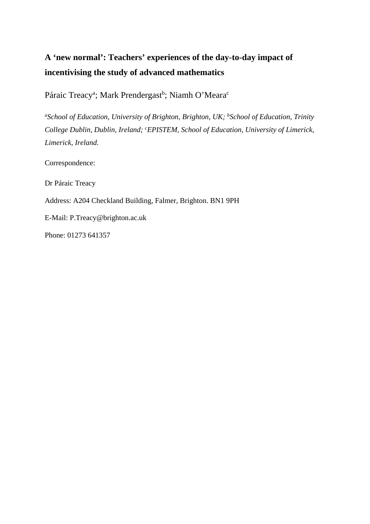# **A 'new normal': Teachers' experiences of the day-to-day impact of incentivising the study of advanced mathematics**

Páraic Treacy<sup>a</sup>; Mark Prendergast<sup>b</sup>; Niamh O'Meara<sup>c</sup>

*aSchool of Education, University of Brighton, Brighton, UK; bSchool of Education, Trinity College Dublin, Dublin, Ireland; c EPISTEM, School of Education, University of Limerick, Limerick, Ireland.*

Correspondence:

Dr Páraic Treacy

Address: A204 Checkland Building, Falmer, Brighton. BN1 9PH

E-Mail: P.Treacy@brighton.ac.uk

Phone: 01273 641357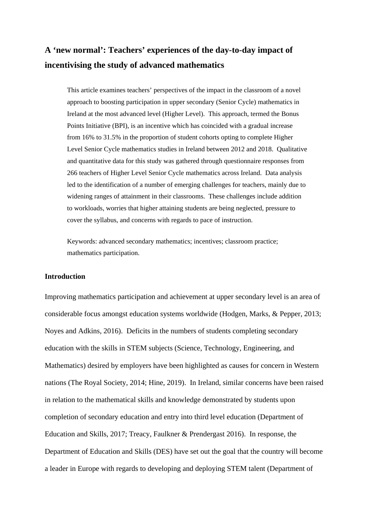# **A 'new normal': Teachers' experiences of the day-to-day impact of incentivising the study of advanced mathematics**

This article examines teachers' perspectives of the impact in the classroom of a novel approach to boosting participation in upper secondary (Senior Cycle) mathematics in Ireland at the most advanced level (Higher Level). This approach, termed the Bonus Points Initiative (BPI), is an incentive which has coincided with a gradual increase from 16% to 31.5% in the proportion of student cohorts opting to complete Higher Level Senior Cycle mathematics studies in Ireland between 2012 and 2018. Qualitative and quantitative data for this study was gathered through questionnaire responses from 266 teachers of Higher Level Senior Cycle mathematics across Ireland. Data analysis led to the identification of a number of emerging challenges for teachers, mainly due to widening ranges of attainment in their classrooms. These challenges include addition to workloads, worries that higher attaining students are being neglected, pressure to cover the syllabus, and concerns with regards to pace of instruction.

Keywords: advanced secondary mathematics; incentives; classroom practice; mathematics participation.

## **Introduction**

Improving mathematics participation and achievement at upper secondary level is an area of considerable focus amongst education systems worldwide (Hodgen, Marks, & Pepper, 2013; Noyes and Adkins, 2016). Deficits in the numbers of students completing secondary education with the skills in STEM subjects (Science, Technology, Engineering, and Mathematics) desired by employers have been highlighted as causes for concern in Western nations (The Royal Society, 2014; Hine, 2019). In Ireland, similar concerns have been raised in relation to the mathematical skills and knowledge demonstrated by students upon completion of secondary education and entry into third level education (Department of Education and Skills, 2017; Treacy, Faulkner & Prendergast 2016). In response, the Department of Education and Skills (DES) have set out the goal that the country will become a leader in Europe with regards to developing and deploying STEM talent (Department of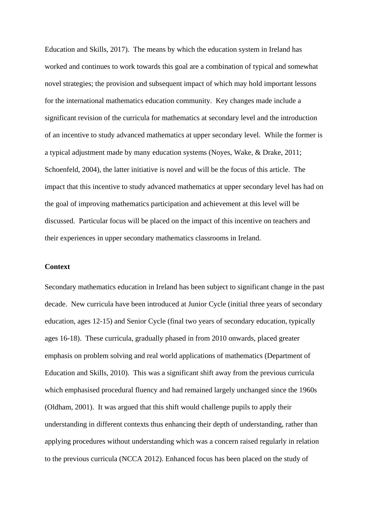Education and Skills, 2017). The means by which the education system in Ireland has worked and continues to work towards this goal are a combination of typical and somewhat novel strategies; the provision and subsequent impact of which may hold important lessons for the international mathematics education community. Key changes made include a significant revision of the curricula for mathematics at secondary level and the introduction of an incentive to study advanced mathematics at upper secondary level. While the former is a typical adjustment made by many education systems (Noyes, Wake, & Drake, 2011; Schoenfeld, 2004), the latter initiative is novel and will be the focus of this article. The impact that this incentive to study advanced mathematics at upper secondary level has had on the goal of improving mathematics participation and achievement at this level will be discussed. Particular focus will be placed on the impact of this incentive on teachers and their experiences in upper secondary mathematics classrooms in Ireland.

#### **Context**

Secondary mathematics education in Ireland has been subject to significant change in the past decade. New curricula have been introduced at Junior Cycle (initial three years of secondary education, ages 12-15) and Senior Cycle (final two years of secondary education, typically ages 16-18). These curricula, gradually phased in from 2010 onwards, placed greater emphasis on problem solving and real world applications of mathematics (Department of Education and Skills, 2010). This was a significant shift away from the previous curricula which emphasised procedural fluency and had remained largely unchanged since the 1960s (Oldham, 2001). It was argued that this shift would challenge pupils to apply their understanding in different contexts thus enhancing their depth of understanding, rather than applying procedures without understanding which was a concern raised regularly in relation to the previous curricula (NCCA 2012). Enhanced focus has been placed on the study of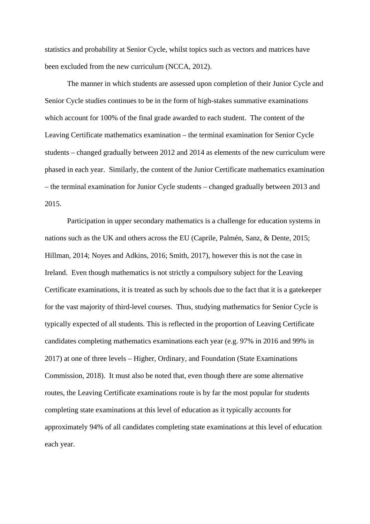statistics and probability at Senior Cycle, whilst topics such as vectors and matrices have been excluded from the new curriculum (NCCA, 2012).

The manner in which students are assessed upon completion of their Junior Cycle and Senior Cycle studies continues to be in the form of high-stakes summative examinations which account for 100% of the final grade awarded to each student. The content of the Leaving Certificate mathematics examination – the terminal examination for Senior Cycle students – changed gradually between 2012 and 2014 as elements of the new curriculum were phased in each year. Similarly, the content of the Junior Certificate mathematics examination – the terminal examination for Junior Cycle students – changed gradually between 2013 and 2015.

Participation in upper secondary mathematics is a challenge for education systems in nations such as the UK and others across the EU (Caprile, Palmén, Sanz, & Dente, 2015; Hillman, 2014; Noyes and Adkins, 2016; Smith, 2017), however this is not the case in Ireland. Even though mathematics is not strictly a compulsory subject for the Leaving Certificate examinations, it is treated as such by schools due to the fact that it is a gatekeeper for the vast majority of third-level courses. Thus, studying mathematics for Senior Cycle is typically expected of all students. This is reflected in the proportion of Leaving Certificate candidates completing mathematics examinations each year (e.g. 97% in 2016 and 99% in 2017) at one of three levels – Higher, Ordinary, and Foundation (State Examinations Commission, 2018). It must also be noted that, even though there are some alternative routes, the Leaving Certificate examinations route is by far the most popular for students completing state examinations at this level of education as it typically accounts for approximately 94% of all candidates completing state examinations at this level of education each year.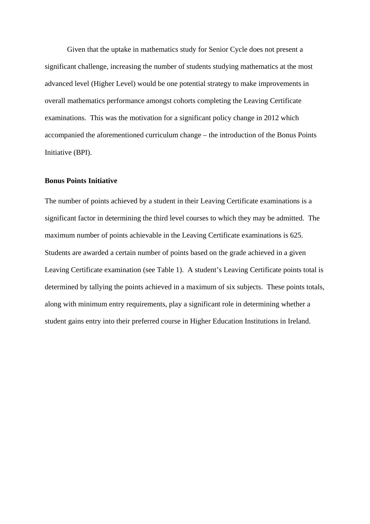Given that the uptake in mathematics study for Senior Cycle does not present a significant challenge, increasing the number of students studying mathematics at the most advanced level (Higher Level) would be one potential strategy to make improvements in overall mathematics performance amongst cohorts completing the Leaving Certificate examinations. This was the motivation for a significant policy change in 2012 which accompanied the aforementioned curriculum change – the introduction of the Bonus Points Initiative (BPI).

# **Bonus Points Initiative**

The number of points achieved by a student in their Leaving Certificate examinations is a significant factor in determining the third level courses to which they may be admitted. The maximum number of points achievable in the Leaving Certificate examinations is 625. Students are awarded a certain number of points based on the grade achieved in a given Leaving Certificate examination (see Table 1). A student's Leaving Certificate points total is determined by tallying the points achieved in a maximum of six subjects. These points totals, along with minimum entry requirements, play a significant role in determining whether a student gains entry into their preferred course in Higher Education Institutions in Ireland.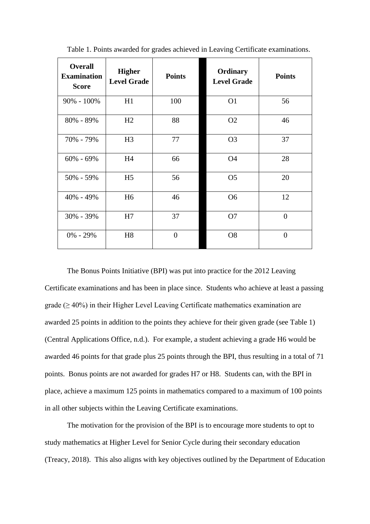| <b>Overall</b><br><b>Examination</b><br><b>Score</b> | <b>Higher</b><br><b>Level Grade</b> | <b>Points</b> | Ordinary<br><b>Level Grade</b> | <b>Points</b>  |
|------------------------------------------------------|-------------------------------------|---------------|--------------------------------|----------------|
| $90\% - 100\%$                                       | H1                                  | 100           | O <sub>1</sub>                 | 56             |
| 80% - 89%                                            | H2                                  | 88            | O <sub>2</sub>                 | 46             |
| 70% - 79%                                            | H <sub>3</sub>                      | 77            | O <sub>3</sub>                 | 37             |
| $60\% - 69\%$                                        | H <sub>4</sub>                      | 66            | <b>O4</b>                      | 28             |
| 50% - 59%                                            | H <sub>5</sub>                      | 56            | O <sub>5</sub>                 | 20             |
| 40% - 49%                                            | H <sub>6</sub>                      | 46            | O <sub>6</sub>                 | 12             |
| 30% - 39%                                            | H7                                  | 37            | O <sub>7</sub>                 | $\overline{0}$ |
| $0\% - 29\%$                                         | H <sub>8</sub>                      | $\theta$      | O <sub>8</sub>                 | $\Omega$       |

Table 1. Points awarded for grades achieved in Leaving Certificate examinations.

The Bonus Points Initiative (BPI) was put into practice for the 2012 Leaving Certificate examinations and has been in place since. Students who achieve at least a passing grade ( $\geq$  40%) in their Higher Level Leaving Certificate mathematics examination are awarded 25 points in addition to the points they achieve for their given grade (see Table 1) (Central Applications Office, n.d.). For example, a student achieving a grade H6 would be awarded 46 points for that grade plus 25 points through the BPI, thus resulting in a total of 71 points. Bonus points are not awarded for grades H7 or H8. Students can, with the BPI in place, achieve a maximum 125 points in mathematics compared to a maximum of 100 points in all other subjects within the Leaving Certificate examinations.

The motivation for the provision of the BPI is to encourage more students to opt to study mathematics at Higher Level for Senior Cycle during their secondary education (Treacy, 2018). This also aligns with key objectives outlined by the Department of Education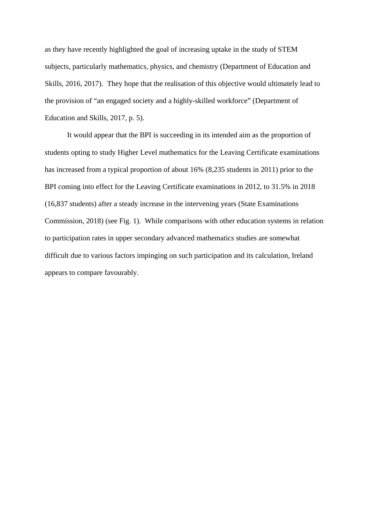as they have recently highlighted the goal of increasing uptake in the study of STEM subjects, particularly mathematics, physics, and chemistry (Department of Education and Skills, 2016, 2017). They hope that the realisation of this objective would ultimately lead to the provision of "an engaged society and a highly-skilled workforce" (Department of Education and Skills, 2017, p. 5).

It would appear that the BPI is succeeding in its intended aim as the proportion of students opting to study Higher Level mathematics for the Leaving Certificate examinations has increased from a typical proportion of about 16% (8,235 students in 2011) prior to the BPI coming into effect for the Leaving Certificate examinations in 2012, to 31.5% in 2018 (16,837 students) after a steady increase in the intervening years (State Examinations Commission, 2018) (see Fig. 1). While comparisons with other education systems in relation to participation rates in upper secondary advanced mathematics studies are somewhat difficult due to various factors impinging on such participation and its calculation, Ireland appears to compare favourably.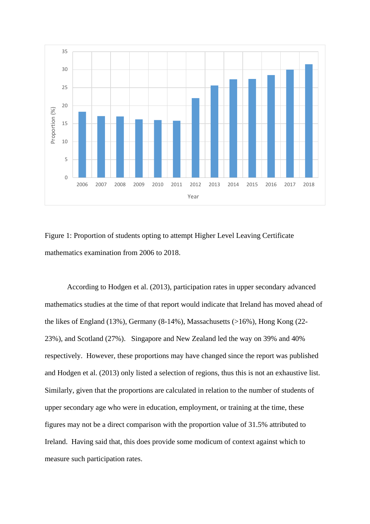

Figure 1: Proportion of students opting to attempt Higher Level Leaving Certificate mathematics examination from 2006 to 2018.

According to Hodgen et al. (2013), participation rates in upper secondary advanced mathematics studies at the time of that report would indicate that Ireland has moved ahead of the likes of England (13%), Germany (8-14%), Massachusetts (>16%), Hong Kong (22- 23%), and Scotland (27%). Singapore and New Zealand led the way on 39% and 40% respectively. However, these proportions may have changed since the report was published and Hodgen et al. (2013) only listed a selection of regions, thus this is not an exhaustive list. Similarly, given that the proportions are calculated in relation to the number of students of upper secondary age who were in education, employment, or training at the time, these figures may not be a direct comparison with the proportion value of 31.5% attributed to Ireland. Having said that, this does provide some modicum of context against which to measure such participation rates.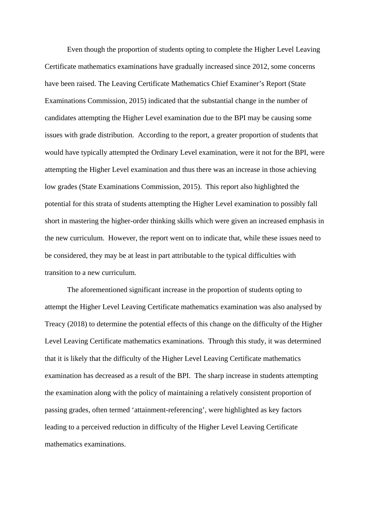Even though the proportion of students opting to complete the Higher Level Leaving Certificate mathematics examinations have gradually increased since 2012, some concerns have been raised. The Leaving Certificate Mathematics Chief Examiner's Report (State Examinations Commission, 2015) indicated that the substantial change in the number of candidates attempting the Higher Level examination due to the BPI may be causing some issues with grade distribution. According to the report, a greater proportion of students that would have typically attempted the Ordinary Level examination, were it not for the BPI, were attempting the Higher Level examination and thus there was an increase in those achieving low grades (State Examinations Commission, 2015). This report also highlighted the potential for this strata of students attempting the Higher Level examination to possibly fall short in mastering the higher-order thinking skills which were given an increased emphasis in the new curriculum. However, the report went on to indicate that, while these issues need to be considered, they may be at least in part attributable to the typical difficulties with transition to a new curriculum.

The aforementioned significant increase in the proportion of students opting to attempt the Higher Level Leaving Certificate mathematics examination was also analysed by Treacy (2018) to determine the potential effects of this change on the difficulty of the Higher Level Leaving Certificate mathematics examinations. Through this study, it was determined that it is likely that the difficulty of the Higher Level Leaving Certificate mathematics examination has decreased as a result of the BPI. The sharp increase in students attempting the examination along with the policy of maintaining a relatively consistent proportion of passing grades, often termed 'attainment-referencing', were highlighted as key factors leading to a perceived reduction in difficulty of the Higher Level Leaving Certificate mathematics examinations.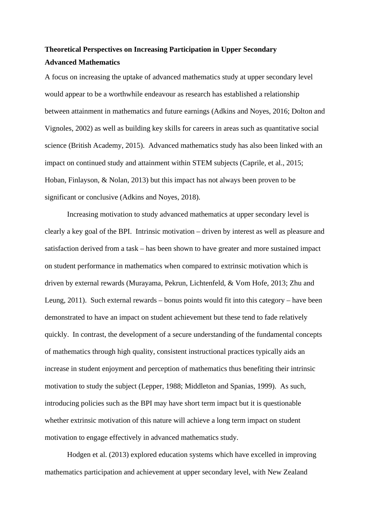# **Theoretical Perspectives on Increasing Participation in Upper Secondary Advanced Mathematics**

A focus on increasing the uptake of advanced mathematics study at upper secondary level would appear to be a worthwhile endeavour as research has established a relationship between attainment in mathematics and future earnings (Adkins and Noyes, 2016; Dolton and Vignoles, 2002) as well as building key skills for careers in areas such as quantitative social science (British Academy, 2015). Advanced mathematics study has also been linked with an impact on continued study and attainment within STEM subjects (Caprile, et al., 2015; Hoban, Finlayson, & Nolan, 2013) but this impact has not always been proven to be significant or conclusive (Adkins and Noyes, 2018).

Increasing motivation to study advanced mathematics at upper secondary level is clearly a key goal of the BPI. Intrinsic motivation – driven by interest as well as pleasure and satisfaction derived from a task – has been shown to have greater and more sustained impact on student performance in mathematics when compared to extrinsic motivation which is driven by external rewards (Murayama, Pekrun, Lichtenfeld, & Vom Hofe, 2013; Zhu and Leung, 2011). Such external rewards – bonus points would fit into this category – have been demonstrated to have an impact on student achievement but these tend to fade relatively quickly. In contrast, the development of a secure understanding of the fundamental concepts of mathematics through high quality, consistent instructional practices typically aids an increase in student enjoyment and perception of mathematics thus benefiting their intrinsic motivation to study the subject (Lepper, 1988; Middleton and Spanias, 1999). As such, introducing policies such as the BPI may have short term impact but it is questionable whether extrinsic motivation of this nature will achieve a long term impact on student motivation to engage effectively in advanced mathematics study.

Hodgen et al. (2013) explored education systems which have excelled in improving mathematics participation and achievement at upper secondary level, with New Zealand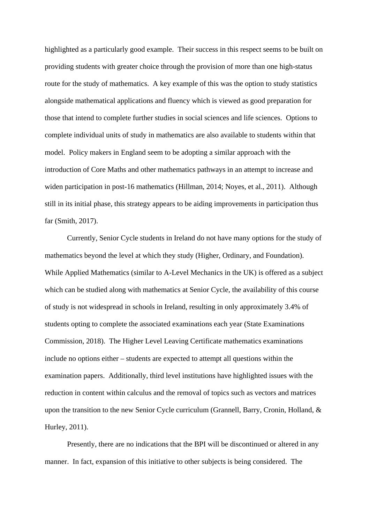highlighted as a particularly good example. Their success in this respect seems to be built on providing students with greater choice through the provision of more than one high-status route for the study of mathematics. A key example of this was the option to study statistics alongside mathematical applications and fluency which is viewed as good preparation for those that intend to complete further studies in social sciences and life sciences. Options to complete individual units of study in mathematics are also available to students within that model. Policy makers in England seem to be adopting a similar approach with the introduction of Core Maths and other mathematics pathways in an attempt to increase and widen participation in post-16 mathematics (Hillman, 2014; Noyes, et al., 2011). Although still in its initial phase, this strategy appears to be aiding improvements in participation thus far (Smith, 2017).

Currently, Senior Cycle students in Ireland do not have many options for the study of mathematics beyond the level at which they study (Higher, Ordinary, and Foundation). While Applied Mathematics (similar to A-Level Mechanics in the UK) is offered as a subject which can be studied along with mathematics at Senior Cycle, the availability of this course of study is not widespread in schools in Ireland, resulting in only approximately 3.4% of students opting to complete the associated examinations each year (State Examinations Commission, 2018). The Higher Level Leaving Certificate mathematics examinations include no options either – students are expected to attempt all questions within the examination papers. Additionally, third level institutions have highlighted issues with the reduction in content within calculus and the removal of topics such as vectors and matrices upon the transition to the new Senior Cycle curriculum (Grannell, Barry, Cronin, Holland, & Hurley, 2011).

Presently, there are no indications that the BPI will be discontinued or altered in any manner. In fact, expansion of this initiative to other subjects is being considered. The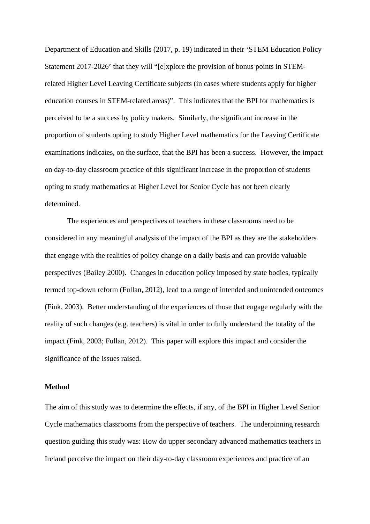Department of Education and Skills (2017, p. 19) indicated in their 'STEM Education Policy Statement 2017-2026' that they will "[e]xplore the provision of bonus points in STEMrelated Higher Level Leaving Certificate subjects (in cases where students apply for higher education courses in STEM-related areas)". This indicates that the BPI for mathematics is perceived to be a success by policy makers. Similarly, the significant increase in the proportion of students opting to study Higher Level mathematics for the Leaving Certificate examinations indicates, on the surface, that the BPI has been a success. However, the impact on day-to-day classroom practice of this significant increase in the proportion of students opting to study mathematics at Higher Level for Senior Cycle has not been clearly determined.

The experiences and perspectives of teachers in these classrooms need to be considered in any meaningful analysis of the impact of the BPI as they are the stakeholders that engage with the realities of policy change on a daily basis and can provide valuable perspectives (Bailey 2000). Changes in education policy imposed by state bodies, typically termed top-down reform (Fullan, 2012), lead to a range of intended and unintended outcomes (Fink, 2003). Better understanding of the experiences of those that engage regularly with the reality of such changes (e.g. teachers) is vital in order to fully understand the totality of the impact (Fink, 2003; Fullan, 2012). This paper will explore this impact and consider the significance of the issues raised.

# **Method**

The aim of this study was to determine the effects, if any, of the BPI in Higher Level Senior Cycle mathematics classrooms from the perspective of teachers. The underpinning research question guiding this study was: How do upper secondary advanced mathematics teachers in Ireland perceive the impact on their day-to-day classroom experiences and practice of an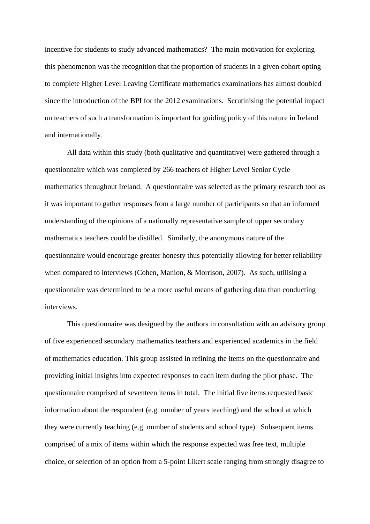incentive for students to study advanced mathematics? The main motivation for exploring this phenomenon was the recognition that the proportion of students in a given cohort opting to complete Higher Level Leaving Certificate mathematics examinations has almost doubled since the introduction of the BPI for the 2012 examinations. Scrutinising the potential impact on teachers of such a transformation is important for guiding policy of this nature in Ireland and internationally.

All data within this study (both qualitative and quantitative) were gathered through a questionnaire which was completed by 266 teachers of Higher Level Senior Cycle mathematics throughout Ireland. A questionnaire was selected as the primary research tool as it was important to gather responses from a large number of participants so that an informed understanding of the opinions of a nationally representative sample of upper secondary mathematics teachers could be distilled. Similarly, the anonymous nature of the questionnaire would encourage greater honesty thus potentially allowing for better reliability when compared to interviews (Cohen, Manion, & Morrison, 2007). As such, utilising a questionnaire was determined to be a more useful means of gathering data than conducting interviews.

This questionnaire was designed by the authors in consultation with an advisory group of five experienced secondary mathematics teachers and experienced academics in the field of mathematics education. This group assisted in refining the items on the questionnaire and providing initial insights into expected responses to each item during the pilot phase. The questionnaire comprised of seventeen items in total. The initial five items requested basic information about the respondent (e.g. number of years teaching) and the school at which they were currently teaching (e.g. number of students and school type). Subsequent items comprised of a mix of items within which the response expected was free text, multiple choice, or selection of an option from a 5-point Likert scale ranging from strongly disagree to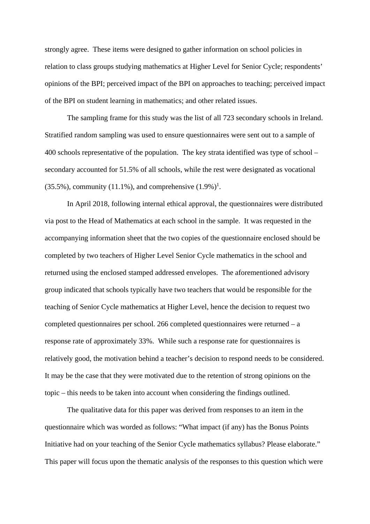strongly agree. These items were designed to gather information on school policies in relation to class groups studying mathematics at Higher Level for Senior Cycle; respondents' opinions of the BPI; perceived impact of the BPI on approaches to teaching; perceived impact of the BPI on student learning in mathematics; and other related issues.

The sampling frame for this study was the list of all 723 secondary schools in Ireland. Stratified random sampling was used to ensure questionnaires were sent out to a sample of 400 schools representative of the population. The key strata identified was type of school – secondary accounted for 51.5% of all schools, while the rest were designated as vocational  $(35.5\%)$ , community (11.1%), and comprehensive  $(1.9\%)^1$ .

In April 2018, following internal ethical approval, the questionnaires were distributed via post to the Head of Mathematics at each school in the sample. It was requested in the accompanying information sheet that the two copies of the questionnaire enclosed should be completed by two teachers of Higher Level Senior Cycle mathematics in the school and returned using the enclosed stamped addressed envelopes. The aforementioned advisory group indicated that schools typically have two teachers that would be responsible for the teaching of Senior Cycle mathematics at Higher Level, hence the decision to request two completed questionnaires per school. 266 completed questionnaires were returned – a response rate of approximately 33%. While such a response rate for questionnaires is relatively good, the motivation behind a teacher's decision to respond needs to be considered. It may be the case that they were motivated due to the retention of strong opinions on the topic – this needs to be taken into account when considering the findings outlined.

The qualitative data for this paper was derived from responses to an item in the questionnaire which was worded as follows: "What impact (if any) has the Bonus Points Initiative had on your teaching of the Senior Cycle mathematics syllabus? Please elaborate." This paper will focus upon the thematic analysis of the responses to this question which were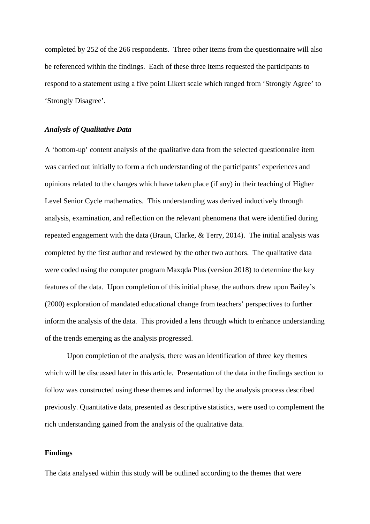completed by 252 of the 266 respondents. Three other items from the questionnaire will also be referenced within the findings. Each of these three items requested the participants to respond to a statement using a five point Likert scale which ranged from 'Strongly Agree' to 'Strongly Disagree'.

#### *Analysis of Qualitative Data*

A 'bottom-up' content analysis of the qualitative data from the selected questionnaire item was carried out initially to form a rich understanding of the participants' experiences and opinions related to the changes which have taken place (if any) in their teaching of Higher Level Senior Cycle mathematics. This understanding was derived inductively through analysis, examination, and reflection on the relevant phenomena that were identified during repeated engagement with the data (Braun, Clarke, & Terry, 2014). The initial analysis was completed by the first author and reviewed by the other two authors. The qualitative data were coded using the computer program Maxqda Plus (version 2018) to determine the key features of the data. Upon completion of this initial phase, the authors drew upon Bailey's (2000) exploration of mandated educational change from teachers' perspectives to further inform the analysis of the data. This provided a lens through which to enhance understanding of the trends emerging as the analysis progressed.

Upon completion of the analysis, there was an identification of three key themes which will be discussed later in this article. Presentation of the data in the findings section to follow was constructed using these themes and informed by the analysis process described previously. Quantitative data, presented as descriptive statistics, were used to complement the rich understanding gained from the analysis of the qualitative data.

### **Findings**

The data analysed within this study will be outlined according to the themes that were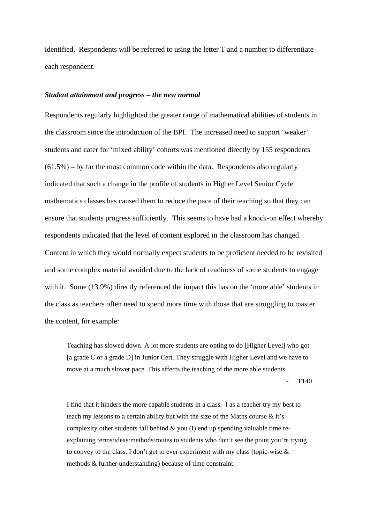identified. Respondents will be referred to using the letter T and a number to differentiate each respondent.

#### *Student attainment and progress – the new normal*

Respondents regularly highlighted the greater range of mathematical abilities of students in the classroom since the introduction of the BPI. The increased need to support 'weaker' students and cater for 'mixed ability' cohorts was mentioned directly by 155 respondents  $(61.5\%)$  – by far the most common code within the data. Respondents also regularly indicated that such a change in the profile of students in Higher Level Senior Cycle mathematics classes has caused them to reduce the pace of their teaching so that they can ensure that students progress sufficiently. This seems to have had a knock-on effect whereby respondents indicated that the level of content explored in the classroom has changed. Content in which they would normally expect students to be proficient needed to be revisited and some complex material avoided due to the lack of readiness of some students to engage with it. Some (13.9%) directly referenced the impact this has on the 'more able' students in the class as teachers often need to spend more time with those that are struggling to master the content, for example:

Teaching has slowed down. A lot more students are opting to do [Higher Level] who got [a grade C or a grade D] in Junior Cert. They struggle with Higher Level and we have to move at a much slower pace. This affects the teaching of the more able students.

T<sub>140</sub>

I find that it hinders the more capable students in a class. I as a teacher try my best to teach my lessons to a certain ability but with the size of the Maths course & it's complexity other students fall behind & you (I) end up spending valuable time reexplaining terms/ideas/methods/routes to students who don't see the point you're trying to convey to the class. I don't get to ever experiment with my class (topic-wise  $\&$ methods & further understanding) because of time constraint.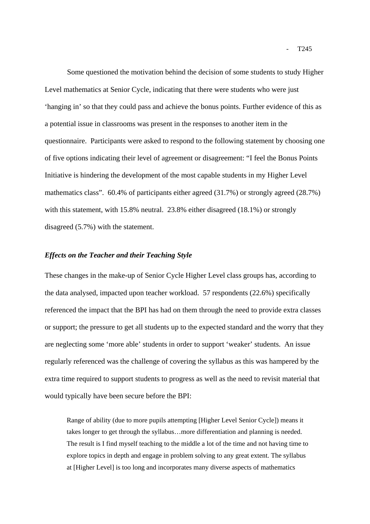Some questioned the motivation behind the decision of some students to study Higher Level mathematics at Senior Cycle, indicating that there were students who were just 'hanging in' so that they could pass and achieve the bonus points. Further evidence of this as a potential issue in classrooms was present in the responses to another item in the questionnaire. Participants were asked to respond to the following statement by choosing one of five options indicating their level of agreement or disagreement: "I feel the Bonus Points Initiative is hindering the development of the most capable students in my Higher Level mathematics class". 60.4% of participants either agreed (31.7%) or strongly agreed (28.7%) with this statement, with 15.8% neutral. 23.8% either disagreed (18.1%) or strongly disagreed (5.7%) with the statement.

### *Effects on the Teacher and their Teaching Style*

These changes in the make-up of Senior Cycle Higher Level class groups has, according to the data analysed, impacted upon teacher workload. 57 respondents (22.6%) specifically referenced the impact that the BPI has had on them through the need to provide extra classes or support; the pressure to get all students up to the expected standard and the worry that they are neglecting some 'more able' students in order to support 'weaker' students. An issue regularly referenced was the challenge of covering the syllabus as this was hampered by the extra time required to support students to progress as well as the need to revisit material that would typically have been secure before the BPI:

Range of ability (due to more pupils attempting [Higher Level Senior Cycle]) means it takes longer to get through the syllabus…more differentiation and planning is needed. The result is I find myself teaching to the middle a lot of the time and not having time to explore topics in depth and engage in problem solving to any great extent. The syllabus at [Higher Level] is too long and incorporates many diverse aspects of mathematics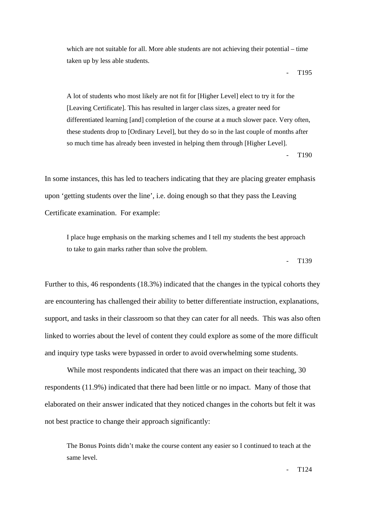which are not suitable for all. More able students are not achieving their potential – time taken up by less able students.

T<sub>195</sub>

A lot of students who most likely are not fit for [Higher Level] elect to try it for the [Leaving Certificate]. This has resulted in larger class sizes, a greater need for differentiated learning [and] completion of the course at a much slower pace. Very often, these students drop to [Ordinary Level], but they do so in the last couple of months after so much time has already been invested in helping them through [Higher Level].

- T190

In some instances, this has led to teachers indicating that they are placing greater emphasis upon 'getting students over the line', i.e. doing enough so that they pass the Leaving Certificate examination. For example:

I place huge emphasis on the marking schemes and I tell my students the best approach to take to gain marks rather than solve the problem.

T<sub>139</sub>

Further to this, 46 respondents (18.3%) indicated that the changes in the typical cohorts they are encountering has challenged their ability to better differentiate instruction, explanations, support, and tasks in their classroom so that they can cater for all needs. This was also often linked to worries about the level of content they could explore as some of the more difficult and inquiry type tasks were bypassed in order to avoid overwhelming some students.

While most respondents indicated that there was an impact on their teaching, 30 respondents (11.9%) indicated that there had been little or no impact. Many of those that elaborated on their answer indicated that they noticed changes in the cohorts but felt it was not best practice to change their approach significantly:

The Bonus Points didn't make the course content any easier so I continued to teach at the same level.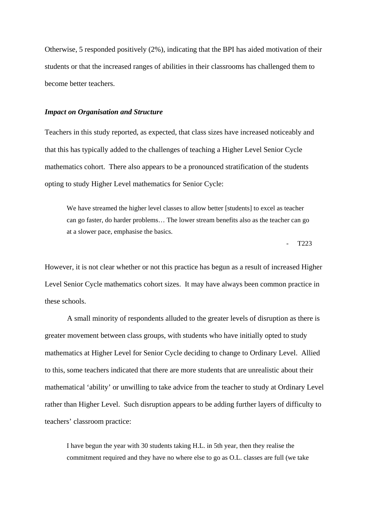Otherwise, 5 responded positively (2%), indicating that the BPI has aided motivation of their students or that the increased ranges of abilities in their classrooms has challenged them to become better teachers.

#### *Impact on Organisation and Structure*

Teachers in this study reported, as expected, that class sizes have increased noticeably and that this has typically added to the challenges of teaching a Higher Level Senior Cycle mathematics cohort. There also appears to be a pronounced stratification of the students opting to study Higher Level mathematics for Senior Cycle:

We have streamed the higher level classes to allow better [students] to excel as teacher can go faster, do harder problems… The lower stream benefits also as the teacher can go at a slower pace, emphasise the basics.

T<sub>223</sub>

However, it is not clear whether or not this practice has begun as a result of increased Higher Level Senior Cycle mathematics cohort sizes. It may have always been common practice in these schools.

A small minority of respondents alluded to the greater levels of disruption as there is greater movement between class groups, with students who have initially opted to study mathematics at Higher Level for Senior Cycle deciding to change to Ordinary Level. Allied to this, some teachers indicated that there are more students that are unrealistic about their mathematical 'ability' or unwilling to take advice from the teacher to study at Ordinary Level rather than Higher Level. Such disruption appears to be adding further layers of difficulty to teachers' classroom practice:

I have begun the year with 30 students taking H.L. in 5th year, then they realise the commitment required and they have no where else to go as O.L. classes are full (we take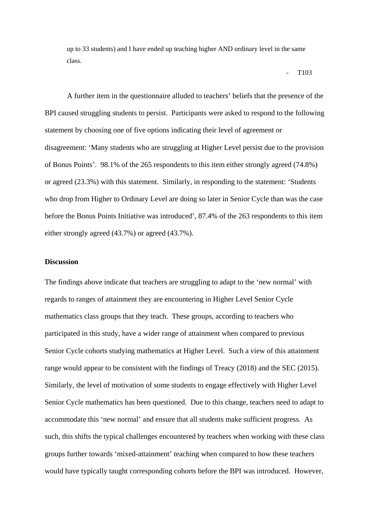up to 33 students) and I have ended up teaching higher AND ordinary level in the same class.

T<sub>103</sub>

A further item in the questionnaire alluded to teachers' beliefs that the presence of the BPI caused struggling students to persist. Participants were asked to respond to the following statement by choosing one of five options indicating their level of agreement or disagreement: 'Many students who are struggling at Higher Level persist due to the provision of Bonus Points'. 98.1% of the 265 respondents to this item either strongly agreed (74.8%) or agreed (23.3%) with this statement. Similarly, in responding to the statement: 'Students who drop from Higher to Ordinary Level are doing so later in Senior Cycle than was the case before the Bonus Points Initiative was introduced', 87.4% of the 263 respondents to this item either strongly agreed (43.7%) or agreed (43.7%).

#### **Discussion**

The findings above indicate that teachers are struggling to adapt to the 'new normal' with regards to ranges of attainment they are encountering in Higher Level Senior Cycle mathematics class groups that they teach. These groups, according to teachers who participated in this study, have a wider range of attainment when compared to previous Senior Cycle cohorts studying mathematics at Higher Level. Such a view of this attainment range would appear to be consistent with the findings of Treacy (2018) and the SEC (2015). Similarly, the level of motivation of some students to engage effectively with Higher Level Senior Cycle mathematics has been questioned. Due to this change, teachers need to adapt to accommodate this 'new normal' and ensure that all students make sufficient progress. As such, this shifts the typical challenges encountered by teachers when working with these class groups further towards 'mixed-attainment' teaching when compared to how these teachers would have typically taught corresponding cohorts before the BPI was introduced. However,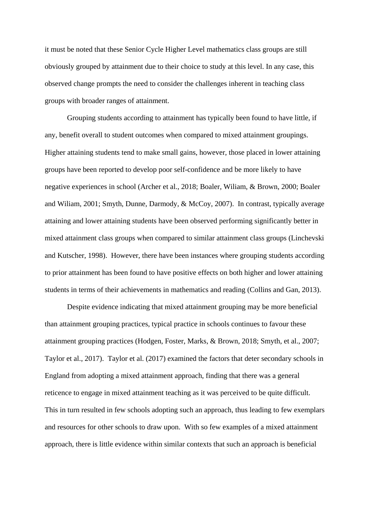it must be noted that these Senior Cycle Higher Level mathematics class groups are still obviously grouped by attainment due to their choice to study at this level. In any case, this observed change prompts the need to consider the challenges inherent in teaching class groups with broader ranges of attainment.

Grouping students according to attainment has typically been found to have little, if any, benefit overall to student outcomes when compared to mixed attainment groupings. Higher attaining students tend to make small gains, however, those placed in lower attaining groups have been reported to develop poor self-confidence and be more likely to have negative experiences in school (Archer et al., 2018; Boaler, Wiliam, & Brown, 2000; Boaler and Wiliam, 2001; Smyth, Dunne, Darmody, & McCoy, 2007). In contrast, typically average attaining and lower attaining students have been observed performing significantly better in mixed attainment class groups when compared to similar attainment class groups (Linchevski and Kutscher, 1998). However, there have been instances where grouping students according to prior attainment has been found to have positive effects on both higher and lower attaining students in terms of their achievements in mathematics and reading (Collins and Gan, 2013).

Despite evidence indicating that mixed attainment grouping may be more beneficial than attainment grouping practices, typical practice in schools continues to favour these attainment grouping practices (Hodgen, Foster, Marks, & Brown, 2018; Smyth, et al., 2007; Taylor et al., 2017). Taylor et al. (2017) examined the factors that deter secondary schools in England from adopting a mixed attainment approach, finding that there was a general reticence to engage in mixed attainment teaching as it was perceived to be quite difficult. This in turn resulted in few schools adopting such an approach, thus leading to few exemplars and resources for other schools to draw upon. With so few examples of a mixed attainment approach, there is little evidence within similar contexts that such an approach is beneficial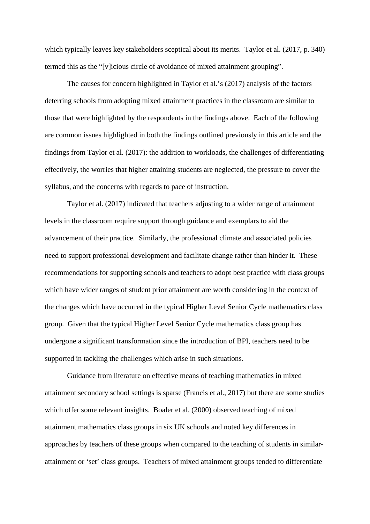which typically leaves key stakeholders sceptical about its merits. Taylor et al. (2017, p. 340) termed this as the "[v]icious circle of avoidance of mixed attainment grouping".

The causes for concern highlighted in Taylor et al.'s (2017) analysis of the factors deterring schools from adopting mixed attainment practices in the classroom are similar to those that were highlighted by the respondents in the findings above. Each of the following are common issues highlighted in both the findings outlined previously in this article and the findings from Taylor et al. (2017): the addition to workloads, the challenges of differentiating effectively, the worries that higher attaining students are neglected, the pressure to cover the syllabus, and the concerns with regards to pace of instruction.

Taylor et al. (2017) indicated that teachers adjusting to a wider range of attainment levels in the classroom require support through guidance and exemplars to aid the advancement of their practice. Similarly, the professional climate and associated policies need to support professional development and facilitate change rather than hinder it. These recommendations for supporting schools and teachers to adopt best practice with class groups which have wider ranges of student prior attainment are worth considering in the context of the changes which have occurred in the typical Higher Level Senior Cycle mathematics class group. Given that the typical Higher Level Senior Cycle mathematics class group has undergone a significant transformation since the introduction of BPI, teachers need to be supported in tackling the challenges which arise in such situations.

Guidance from literature on effective means of teaching mathematics in mixed attainment secondary school settings is sparse (Francis et al., 2017) but there are some studies which offer some relevant insights. Boaler et al. (2000) observed teaching of mixed attainment mathematics class groups in six UK schools and noted key differences in approaches by teachers of these groups when compared to the teaching of students in similarattainment or 'set' class groups. Teachers of mixed attainment groups tended to differentiate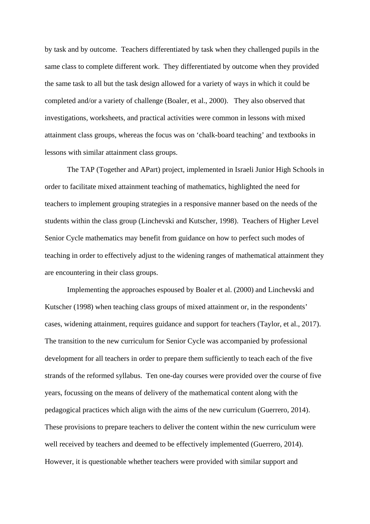by task and by outcome. Teachers differentiated by task when they challenged pupils in the same class to complete different work. They differentiated by outcome when they provided the same task to all but the task design allowed for a variety of ways in which it could be completed and/or a variety of challenge (Boaler, et al., 2000). They also observed that investigations, worksheets, and practical activities were common in lessons with mixed attainment class groups, whereas the focus was on 'chalk-board teaching' and textbooks in lessons with similar attainment class groups.

The TAP (Together and APart) project, implemented in Israeli Junior High Schools in order to facilitate mixed attainment teaching of mathematics, highlighted the need for teachers to implement grouping strategies in a responsive manner based on the needs of the students within the class group (Linchevski and Kutscher, 1998). Teachers of Higher Level Senior Cycle mathematics may benefit from guidance on how to perfect such modes of teaching in order to effectively adjust to the widening ranges of mathematical attainment they are encountering in their class groups.

Implementing the approaches espoused by Boaler et al. (2000) and Linchevski and Kutscher (1998) when teaching class groups of mixed attainment or, in the respondents' cases, widening attainment, requires guidance and support for teachers (Taylor, et al., 2017). The transition to the new curriculum for Senior Cycle was accompanied by professional development for all teachers in order to prepare them sufficiently to teach each of the five strands of the reformed syllabus. Ten one-day courses were provided over the course of five years, focussing on the means of delivery of the mathematical content along with the pedagogical practices which align with the aims of the new curriculum (Guerrero, 2014). These provisions to prepare teachers to deliver the content within the new curriculum were well received by teachers and deemed to be effectively implemented (Guerrero, 2014). However, it is questionable whether teachers were provided with similar support and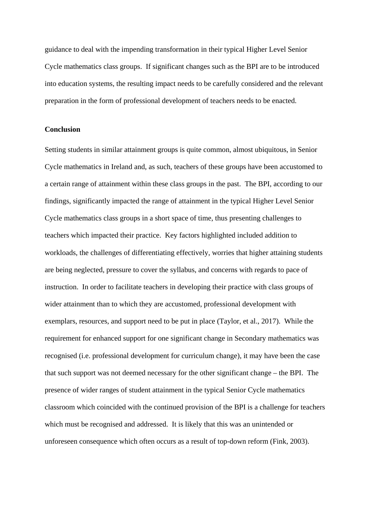guidance to deal with the impending transformation in their typical Higher Level Senior Cycle mathematics class groups. If significant changes such as the BPI are to be introduced into education systems, the resulting impact needs to be carefully considered and the relevant preparation in the form of professional development of teachers needs to be enacted.

# **Conclusion**

Setting students in similar attainment groups is quite common, almost ubiquitous, in Senior Cycle mathematics in Ireland and, as such, teachers of these groups have been accustomed to a certain range of attainment within these class groups in the past. The BPI, according to our findings, significantly impacted the range of attainment in the typical Higher Level Senior Cycle mathematics class groups in a short space of time, thus presenting challenges to teachers which impacted their practice. Key factors highlighted included addition to workloads, the challenges of differentiating effectively, worries that higher attaining students are being neglected, pressure to cover the syllabus, and concerns with regards to pace of instruction. In order to facilitate teachers in developing their practice with class groups of wider attainment than to which they are accustomed, professional development with exemplars, resources, and support need to be put in place (Taylor, et al., 2017). While the requirement for enhanced support for one significant change in Secondary mathematics was recognised (i.e. professional development for curriculum change), it may have been the case that such support was not deemed necessary for the other significant change – the BPI. The presence of wider ranges of student attainment in the typical Senior Cycle mathematics classroom which coincided with the continued provision of the BPI is a challenge for teachers which must be recognised and addressed. It is likely that this was an unintended or unforeseen consequence which often occurs as a result of top-down reform (Fink, 2003).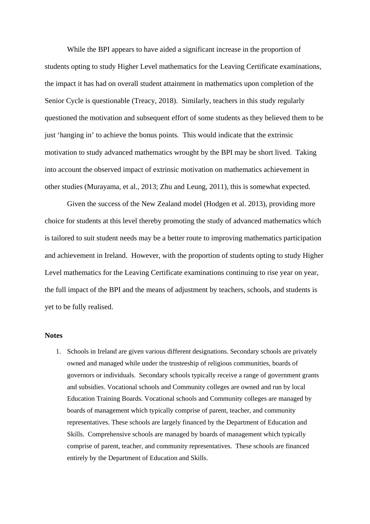While the BPI appears to have aided a significant increase in the proportion of students opting to study Higher Level mathematics for the Leaving Certificate examinations, the impact it has had on overall student attainment in mathematics upon completion of the Senior Cycle is questionable (Treacy, 2018). Similarly, teachers in this study regularly questioned the motivation and subsequent effort of some students as they believed them to be just 'hanging in' to achieve the bonus points. This would indicate that the extrinsic motivation to study advanced mathematics wrought by the BPI may be short lived. Taking into account the observed impact of extrinsic motivation on mathematics achievement in other studies (Murayama, et al., 2013; Zhu and Leung, 2011), this is somewhat expected.

Given the success of the New Zealand model (Hodgen et al. 2013), providing more choice for students at this level thereby promoting the study of advanced mathematics which is tailored to suit student needs may be a better route to improving mathematics participation and achievement in Ireland. However, with the proportion of students opting to study Higher Level mathematics for the Leaving Certificate examinations continuing to rise year on year, the full impact of the BPI and the means of adjustment by teachers, schools, and students is yet to be fully realised.

#### **Notes**

1. Schools in Ireland are given various different designations. Secondary schools are privately owned and managed while under the trusteeship of religious communities, boards of governors or individuals. Secondary schools typically receive a range of government grants and subsidies. Vocational schools and Community colleges are owned and run by local Education Training Boards. Vocational schools and Community colleges are managed by boards of management which typically comprise of parent, teacher, and community representatives. These schools are largely financed by the Department of Education and Skills. Comprehensive schools are managed by boards of management which typically comprise of parent, teacher, and community representatives. These schools are financed entirely by the Department of Education and Skills.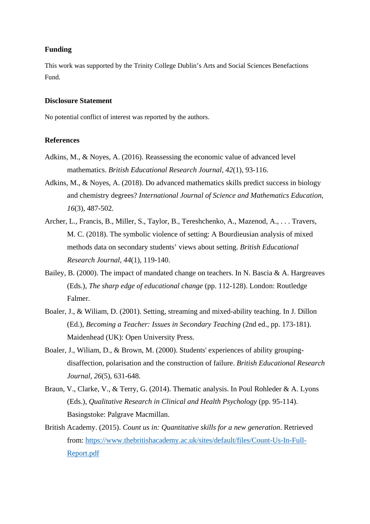# **Funding**

This work was supported by the Trinity College Dublin's Arts and Social Sciences Benefactions Fund.

# **Disclosure Statement**

No potential conflict of interest was reported by the authors.

# **References**

- Adkins, M., & Noyes, A. (2016). Reassessing the economic value of advanced level mathematics. *British Educational Research Journal, 42*(1), 93-116.
- Adkins, M., & Noyes, A. (2018). Do advanced mathematics skills predict success in biology and chemistry degrees? *International Journal of Science and Mathematics Education, 16*(3), 487-502.
- Archer, L., Francis, B., Miller, S., Taylor, B., Tereshchenko, A., Mazenod, A., . . . Travers, M. C. (2018). The symbolic violence of setting: A Bourdieusian analysis of mixed methods data on secondary students' views about setting. *British Educational Research Journal, 44*(1), 119-140.
- Bailey, B. (2000). The impact of mandated change on teachers. In N. Bascia & A. Hargreaves (Eds.), *The sharp edge of educational change* (pp. 112-128). London: Routledge Falmer.
- Boaler, J., & Wiliam, D. (2001). Setting, streaming and mixed-ability teaching. In J. Dillon (Ed.), *Becoming a Teacher: Issues in Secondary Teaching* (2nd ed., pp. 173-181). Maidenhead (UK): Open University Press.
- Boaler, J., Wiliam, D., & Brown, M. (2000). Students' experiences of ability groupingdisaffection, polarisation and the construction of failure. *British Educational Research Journal, 26*(5), 631-648.
- Braun, V., Clarke, V., & Terry, G. (2014). Thematic analysis. In Poul Rohleder & A. Lyons (Eds.), *Qualitative Research in Clinical and Health Psychology* (pp. 95-114). Basingstoke: Palgrave Macmillan.
- British Academy. (2015). *Count us in: Quantitative skills for a new generation*. Retrieved from: [https://www.thebritishacademy.ac.uk/sites/default/files/Count-Us-In-Full-](https://www.thebritishacademy.ac.uk/sites/default/files/Count-Us-In-Full-Report.pdf)[Report.pdf](https://www.thebritishacademy.ac.uk/sites/default/files/Count-Us-In-Full-Report.pdf)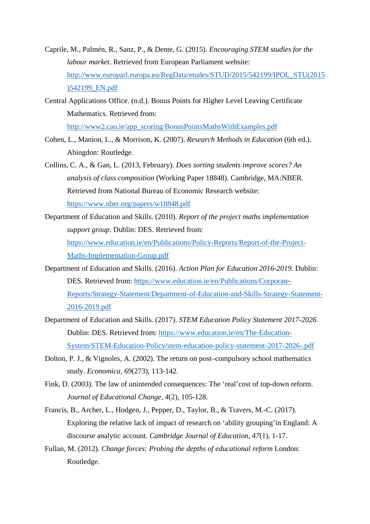- Caprile, M., Palmén, R., Sanz, P., & Dente, G. (2015). *Encouraging STEM studies for the labour market*. Retrieved from European Parliament website: [http://www.europarl.europa.eu/RegData/etudes/STUD/2015/542199/IPOL\\_STU\(2015](http://www.europarl.europa.eu/RegData/etudes/STUD/2015/542199/IPOL_STU(2015)542199_EN.pdf) [\)542199\\_EN.pdf](http://www.europarl.europa.eu/RegData/etudes/STUD/2015/542199/IPOL_STU(2015)542199_EN.pdf)
- Central Applications Office. (n.d.). Bonus Points for Higher Level Leaving Certificate Mathematics. Retrieved from: [http://www2.cao.ie/app\\_scoring/BonusPointsMathsWithExamples.pdf](http://www2.cao.ie/app_scoring/BonusPointsMathsWithExamples.pdf)
- Cohen, L., Manion, L., & Morrison, K. (2007). *Research Methods in Education* (6th ed.). Abingdon: Routledge.
- Collins, C. A., & Gan, L. (2013, February). *Does sorting students improve scores? An analysis of class composition* (Working Paper 18848). Cambridge, MA:NBER. Retrieved from National Bureau of Economic Research website: <https://www.nber.org/papers/w18848.pdf>
- Department of Education and Skills. (2010). *Report of the project maths implementation support group*. Dublin: DES. Retrieved from: [https://www.education.ie/en/Publications/Policy-Reports/Report-of-the-Project-](https://www.education.ie/en/Publications/Policy-Reports/Report-of-the-Project-Maths-Implementation-Group.pdf)[Maths-Implementation-Group.pdf](https://www.education.ie/en/Publications/Policy-Reports/Report-of-the-Project-Maths-Implementation-Group.pdf)
- Department of Education and Skills. (2016). *Action Plan for Education 2016-2019*. Dublin: DES. Retrieved from: [https://www.education.ie/en/Publications/Corporate-](https://www.education.ie/en/Publications/Corporate-Reports/Strategy-Statement/Department-of-Education-and-Skills-Strategy-Statement-2016-2019.pdf)[Reports/Strategy-Statement/Department-of-Education-and-Skills-Strategy-Statement-](https://www.education.ie/en/Publications/Corporate-Reports/Strategy-Statement/Department-of-Education-and-Skills-Strategy-Statement-2016-2019.pdf)[2016-2019.pdf](https://www.education.ie/en/Publications/Corporate-Reports/Strategy-Statement/Department-of-Education-and-Skills-Strategy-Statement-2016-2019.pdf)
- Department of Education and Skills. (2017). *STEM Education Policy Statement 2017-2026*. Dublin: DES. Retrieved from: [https://www.education.ie/en/The-Education-](https://www.education.ie/en/The-Education-System/STEM-Education-Policy/stem-education-policy-statement-2017-2026-.pdf)[System/STEM-Education-Policy/stem-education-policy-statement-2017-2026-.pdf](https://www.education.ie/en/The-Education-System/STEM-Education-Policy/stem-education-policy-statement-2017-2026-.pdf)
- Dolton, P. J., & Vignoles, A. (2002). The return on post–compulsory school mathematics study. *Economica, 69*(273), 113-142.
- Fink, D. (2003). The law of unintended consequences: The 'real'cost of top-down reform. *Journal of Educational Change, 4*(2), 105-128.
- Francis, B., Archer, L., Hodgen, J., Pepper, D., Taylor, B., & Travers, M.-C. (2017). Exploring the relative lack of impact of research on 'ability grouping'in England: A discourse analytic account. *Cambridge Journal of Education, 47*(1), 1-17.
- Fullan, M. (2012). *Change forces: Probing the depths of educational reform* London: Routledge.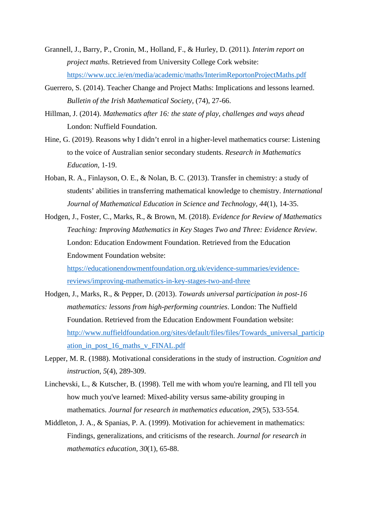- Grannell, J., Barry, P., Cronin, M., Holland, F., & Hurley, D. (2011). *Interim report on project maths*. Retrieved from University College Cork website: <https://www.ucc.ie/en/media/academic/maths/InterimReportonProjectMaths.pdf>
- Guerrero, S. (2014). Teacher Change and Project Maths: Implications and lessons learned. *Bulletin of the Irish Mathematical Society,* (74), 27-66.
- Hillman, J. (2014). *Mathematics after 16: the state of play, challenges and ways ahead* London: Nuffield Foundation.
- Hine, G. (2019). Reasons why I didn't enrol in a higher-level mathematics course: Listening to the voice of Australian senior secondary students. *Research in Mathematics Education*, 1-19.
- Hoban, R. A., Finlayson, O. E., & Nolan, B. C. (2013). Transfer in chemistry: a study of students' abilities in transferring mathematical knowledge to chemistry. *International Journal of Mathematical Education in Science and Technology, 44*(1), 14-35.
- Hodgen, J., Foster, C., Marks, R., & Brown, M. (2018). *Evidence for Review of Mathematics Teaching: Improving Mathematics in Key Stages Two and Three: Evidence Review*. London: Education Endowment Foundation. Retrieved from the Education Endowment Foundation website: [https://educationendowmentfoundation.org.uk/evidence-summaries/evidence](https://educationendowmentfoundation.org.uk/evidence-summaries/evidence-reviews/improving-mathematics-in-key-stages-two-and-three)[reviews/improving-mathematics-in-key-stages-two-and-three](https://educationendowmentfoundation.org.uk/evidence-summaries/evidence-reviews/improving-mathematics-in-key-stages-two-and-three)
- Hodgen, J., Marks, R., & Pepper, D. (2013). *Towards universal participation in post-16 mathematics: lessons from high-performing countries*. London: The Nuffield Foundation. Retrieved from the Education Endowment Foundation website: [http://www.nuffieldfoundation.org/sites/default/files/files/Towards\\_universal\\_particip](http://www.nuffieldfoundation.org/sites/default/files/files/Towards_universal_participation_in_post_16_maths_v_FINAL.pdf) [ation\\_in\\_post\\_16\\_maths\\_v\\_FINAL.pdf](http://www.nuffieldfoundation.org/sites/default/files/files/Towards_universal_participation_in_post_16_maths_v_FINAL.pdf)
- Lepper, M. R. (1988). Motivational considerations in the study of instruction. *Cognition and instruction, 5*(4), 289-309.
- Linchevski, L., & Kutscher, B. (1998). Tell me with whom you're learning, and I'll tell you how much you've learned: Mixed-ability versus same-ability grouping in mathematics. *Journal for research in mathematics education, 29*(5), 533-554.
- Middleton, J. A., & Spanias, P. A. (1999). Motivation for achievement in mathematics: Findings, generalizations, and criticisms of the research. *Journal for research in mathematics education, 30*(1), 65-88.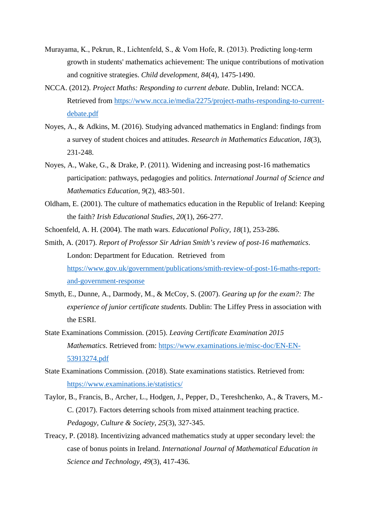- Murayama, K., Pekrun, R., Lichtenfeld, S., & Vom Hofe, R. (2013). Predicting long‐term growth in students' mathematics achievement: The unique contributions of motivation and cognitive strategies. *Child development, 84*(4), 1475-1490.
- NCCA. (2012). *Project Maths: Responding to current debate*. Dublin, Ireland: NCCA. Retrieved from [https://www.ncca.ie/media/2275/project-maths-responding-to-current](https://www.ncca.ie/media/2275/project-maths-responding-to-current-debate.pdf)[debate.pdf](https://www.ncca.ie/media/2275/project-maths-responding-to-current-debate.pdf)
- Noyes, A., & Adkins, M. (2016). Studying advanced mathematics in England: findings from a survey of student choices and attitudes. *Research in Mathematics Education, 18*(3), 231-248.
- Noyes, A., Wake, G., & Drake, P. (2011). Widening and increasing post-16 mathematics participation: pathways, pedagogies and politics. *International Journal of Science and Mathematics Education, 9*(2), 483-501.
- Oldham, E. (2001). The culture of mathematics education in the Republic of Ireland: Keeping the faith? *Irish Educational Studies, 20*(1), 266-277.

Schoenfeld, A. H. (2004). The math wars. *Educational Policy, 18*(1), 253-286.

- Smith, A. (2017). *Report of Professor Sir Adrian Smith's review of post-16 mathematics*. London: Department for Education. Retrieved from [https://www.gov.uk/government/publications/smith-review-of-post-16-maths-report](https://www.gov.uk/government/publications/smith-review-of-post-16-maths-report-and-government-response)[and-government-response](https://www.gov.uk/government/publications/smith-review-of-post-16-maths-report-and-government-response)
- Smyth, E., Dunne, A., Darmody, M., & McCoy, S. (2007). *Gearing up for the exam?: The experience of junior certificate students.* Dublin: The Liffey Press in association with the ESRI.
- State Examinations Commission. (2015). *Leaving Certificate Examination 2015 Mathematics*. Retrieved from: [https://www.examinations.ie/misc-doc/EN-EN-](https://www.examinations.ie/misc-doc/EN-EN-53913274.pdf)[53913274.pdf](https://www.examinations.ie/misc-doc/EN-EN-53913274.pdf)
- State Examinations Commission. (2018). State examinations statistics. Retrieved from: <https://www.examinations.ie/statistics/>
- Taylor, B., Francis, B., Archer, L., Hodgen, J., Pepper, D., Tereshchenko, A., & Travers, M.- C. (2017). Factors deterring schools from mixed attainment teaching practice. *Pedagogy, Culture & Society, 25*(3), 327-345.
- Treacy, P. (2018). Incentivizing advanced mathematics study at upper secondary level: the case of bonus points in Ireland. *International Journal of Mathematical Education in Science and Technology, 49*(3), 417-436.